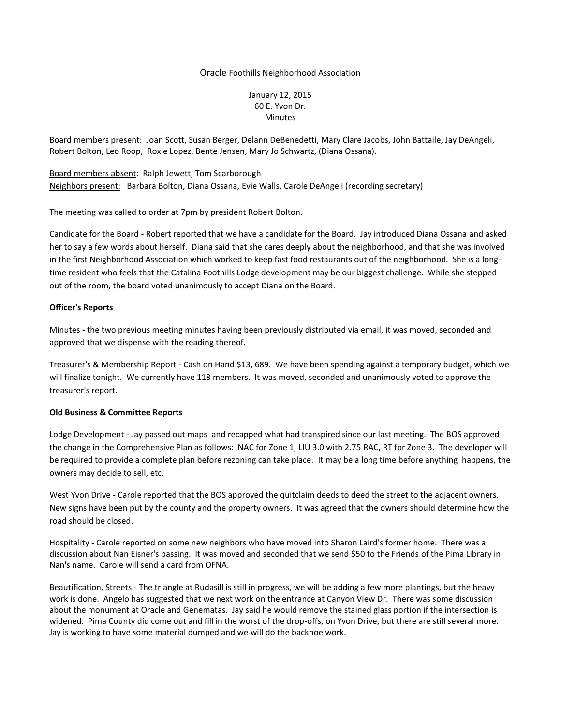## Oracle Foothills Neighborhood Association

January 12, 2015 60 E. Yvon Dr. Minutes

Board members present: Joan Scott, Susan Berger, Delann DeBenedetti, Mary Clare Jacobs, John Battaile, Jay DeAngeli, Robert Bolton, Leo Roop, Roxie Lopez, Bente Jensen, Mary Jo Schwartz, (Diana Ossana).

Board members absent: Ralph Jewett, Tom Scarborough Neighbors present: Barbara Bolton, Diana Ossana, Evie Walls, Carole DeAngeli (recording secretary)

The meeting was called to order at 7pm by president Robert Bolton.

Candidate for the Board - Robert reported that we have a candidate for the Board. Jay introduced Diana Ossana and asked her to say a few words about herself. Diana said that she cares deeply about the neighborhood, and that she was involved in the first Neighborhood Association which worked to keep fast food restaurants out of the neighborhood. She is a longtime resident who feels that the Catalina Foothills Lodge development may be our biggest challenge. While she stepped out of the room, the board voted unanimously to accept Diana on the Board.

## **Officer's Reports**

Minutes - the two previous meeting minutes having been previously distributed via email, it was moved, seconded and approved that we dispense with the reading thereof.

Treasurer's & Membership Report - Cash on Hand \$13, 689. We have been spending against a temporary budget, which we will finalize tonight. We currently have 118 members. It was moved, seconded and unanimously voted to approve the treasurer's report.

## **Old Business & Committee Reports**

Lodge Development - Jay passed out maps and recapped what had transpired since our last meeting. The BOS approved the change in the Comprehensive Plan as follows: NAC for Zone 1, LIU 3.0 with 2.75 RAC, RT for Zone 3. The developer will be required to provide a complete plan before rezoning can take place. It may be a long time before anything happens, the owners may decide to sell, etc.

West Yvon Drive - Carole reported that the BOS approved the quitclaim deeds to deed the street to the adjacent owners. New signs have been put by the county and the property owners. It was agreed that the owners should determine how the road should be closed.

Hospitality - Carole reported on some new neighbors who have moved into Sharon Laird's former home. There was a discussion about Nan Eisner's passing. It was moved and seconded that we send \$50 to the Friends of the Pima Library in Nan's name. Carole will send a card from OFNA.

Beautification, Streets - The triangle at Rudasill is still in progress, we will be adding a few more plantings, but the heavy work is done. Angelo has suggested that we next work on the entrance at Canyon View Dr. There was some discussion about the monument at Oracle and Genematas. Jay said he would remove the stained glass portion if the intersection is widened. Pima County did come out and fill in the worst of the drop-offs, on Yvon Drive, but there are still several more. Jay is working to have some material dumped and we will do the backhoe work.